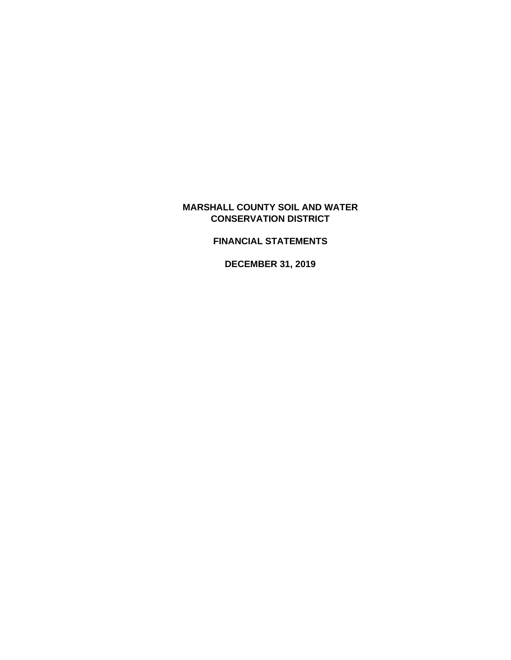# **MARSHALL COUNTY SOIL AND WATER CONSERVATION DISTRICT**

**FINANCIAL STATEMENTS**

**DECEMBER 31, 2019**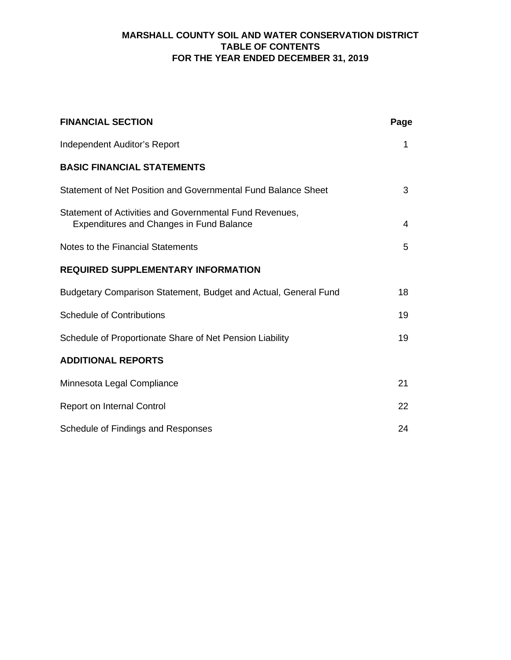# **MARSHALL COUNTY SOIL AND WATER CONSERVATION DISTRICT TABLE OF CONTENTS FOR THE YEAR ENDED DECEMBER 31, 2019**

| <b>FINANCIAL SECTION</b>                                                                                   | Page |
|------------------------------------------------------------------------------------------------------------|------|
| Independent Auditor's Report                                                                               | 1    |
| <b>BASIC FINANCIAL STATEMENTS</b>                                                                          |      |
| Statement of Net Position and Governmental Fund Balance Sheet                                              | 3    |
| Statement of Activities and Governmental Fund Revenues,<br><b>Expenditures and Changes in Fund Balance</b> | 4    |
| Notes to the Financial Statements                                                                          | 5    |
| <b>REQUIRED SUPPLEMENTARY INFORMATION</b>                                                                  |      |
| Budgetary Comparison Statement, Budget and Actual, General Fund                                            | 18   |
| <b>Schedule of Contributions</b>                                                                           | 19   |
| Schedule of Proportionate Share of Net Pension Liability                                                   | 19   |
| <b>ADDITIONAL REPORTS</b>                                                                                  |      |
| Minnesota Legal Compliance                                                                                 | 21   |
| Report on Internal Control                                                                                 | 22   |
| Schedule of Findings and Responses                                                                         | 24   |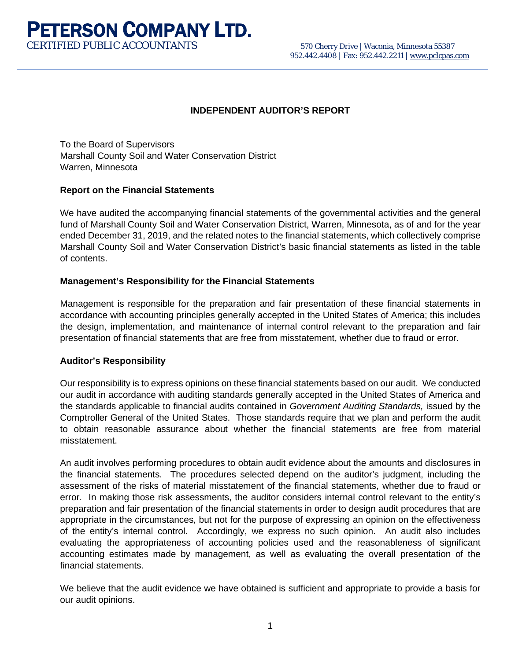**PETERSON COMPANY LTD.**<br>CERTIFIED PUBLIC ACCOUNTANTS 570 Cherry Drive | Waconia, Minnesota 55387

# **INDEPENDENT AUDITOR'S REPORT**

To the Board of Supervisors Marshall County Soil and Water Conservation District Warren, Minnesota

## **Report on the Financial Statements**

We have audited the accompanying financial statements of the governmental activities and the general fund of Marshall County Soil and Water Conservation District, Warren, Minnesota, as of and for the year ended December 31, 2019, and the related notes to the financial statements, which collectively comprise Marshall County Soil and Water Conservation District's basic financial statements as listed in the table of contents.

## **Management's Responsibility for the Financial Statements**

Management is responsible for the preparation and fair presentation of these financial statements in accordance with accounting principles generally accepted in the United States of America; this includes the design, implementation, and maintenance of internal control relevant to the preparation and fair presentation of financial statements that are free from misstatement, whether due to fraud or error.

#### **Auditor's Responsibility**

Our responsibility is to express opinions on these financial statements based on our audit. We conducted our audit in accordance with auditing standards generally accepted in the United States of America and the standards applicable to financial audits contained in *Government Auditing Standards,* issued by the Comptroller General of the United States. Those standards require that we plan and perform the audit to obtain reasonable assurance about whether the financial statements are free from material misstatement.

An audit involves performing procedures to obtain audit evidence about the amounts and disclosures in the financial statements. The procedures selected depend on the auditor's judgment, including the assessment of the risks of material misstatement of the financial statements, whether due to fraud or error. In making those risk assessments, the auditor considers internal control relevant to the entity's preparation and fair presentation of the financial statements in order to design audit procedures that are appropriate in the circumstances, but not for the purpose of expressing an opinion on the effectiveness of the entity's internal control. Accordingly, we express no such opinion. An audit also includes evaluating the appropriateness of accounting policies used and the reasonableness of significant accounting estimates made by management, as well as evaluating the overall presentation of the financial statements.

We believe that the audit evidence we have obtained is sufficient and appropriate to provide a basis for our audit opinions.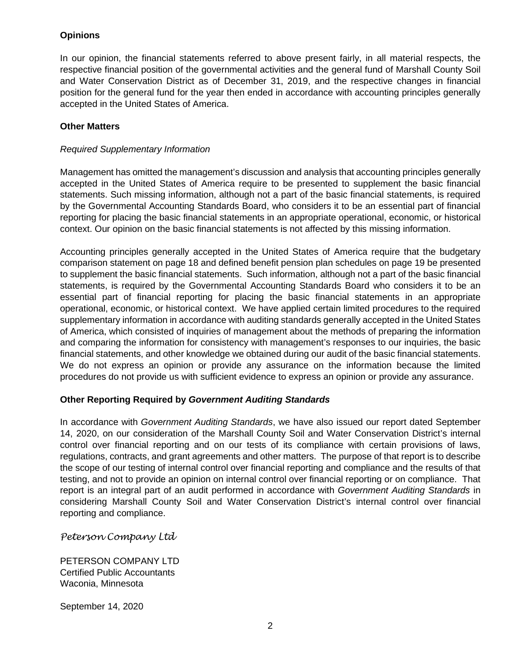# **Opinions**

In our opinion, the financial statements referred to above present fairly, in all material respects, the respective financial position of the governmental activities and the general fund of Marshall County Soil and Water Conservation District as of December 31, 2019, and the respective changes in financial position for the general fund for the year then ended in accordance with accounting principles generally accepted in the United States of America.

# **Other Matters**

## *Required Supplementary Information*

Management has omitted the management's discussion and analysis that accounting principles generally accepted in the United States of America require to be presented to supplement the basic financial statements. Such missing information, although not a part of the basic financial statements, is required by the Governmental Accounting Standards Board, who considers it to be an essential part of financial reporting for placing the basic financial statements in an appropriate operational, economic, or historical context. Our opinion on the basic financial statements is not affected by this missing information.

Accounting principles generally accepted in the United States of America require that the budgetary comparison statement on page 18 and defined benefit pension plan schedules on page 19 be presented to supplement the basic financial statements. Such information, although not a part of the basic financial statements, is required by the Governmental Accounting Standards Board who considers it to be an essential part of financial reporting for placing the basic financial statements in an appropriate operational, economic, or historical context. We have applied certain limited procedures to the required supplementary information in accordance with auditing standards generally accepted in the United States of America, which consisted of inquiries of management about the methods of preparing the information and comparing the information for consistency with management's responses to our inquiries, the basic financial statements, and other knowledge we obtained during our audit of the basic financial statements. We do not express an opinion or provide any assurance on the information because the limited procedures do not provide us with sufficient evidence to express an opinion or provide any assurance.

## **Other Reporting Required by** *Government Auditing Standards*

In accordance with *Government Auditing Standards*, we have also issued our report dated September 14, 2020, on our consideration of the Marshall County Soil and Water Conservation District's internal control over financial reporting and on our tests of its compliance with certain provisions of laws, regulations, contracts, and grant agreements and other matters. The purpose of that report is to describe the scope of our testing of internal control over financial reporting and compliance and the results of that testing, and not to provide an opinion on internal control over financial reporting or on compliance. That report is an integral part of an audit performed in accordance with *Government Auditing Standards* in considering Marshall County Soil and Water Conservation District's internal control over financial reporting and compliance.

*Peterson Company Ltd*

PETERSON COMPANY LTD Certified Public Accountants Waconia, Minnesota

September 14, 2020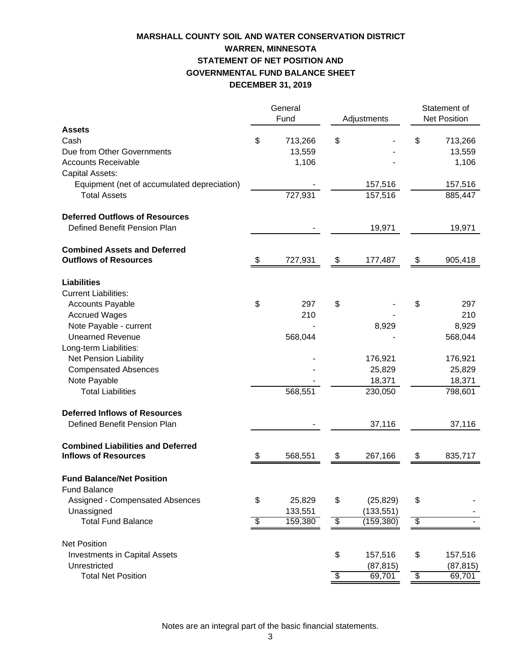# **MARSHALL COUNTY SOIL AND WATER CONSERVATION DISTRICT WARREN, MINNESOTA STATEMENT OF NET POSITION AND GOVERNMENTAL FUND BALANCE SHEET DECEMBER 31, 2019**

|                                                                                                                                                                                                                                                                                         |    | General<br>Fund                  |                                | Adjustments                                     | Statement of<br><b>Net Position</b> |                                                                          |
|-----------------------------------------------------------------------------------------------------------------------------------------------------------------------------------------------------------------------------------------------------------------------------------------|----|----------------------------------|--------------------------------|-------------------------------------------------|-------------------------------------|--------------------------------------------------------------------------|
| <b>Assets</b><br>Cash<br>Due from Other Governments<br><b>Accounts Receivable</b><br>Capital Assets:<br>Equipment (net of accumulated depreciation)                                                                                                                                     | \$ | 713,266<br>13,559<br>1,106       | \$                             | 157,516                                         | \$                                  | 713,266<br>13,559<br>1,106<br>157,516                                    |
| <b>Total Assets</b>                                                                                                                                                                                                                                                                     |    | 727,931                          |                                | 157,516                                         |                                     | 885,447                                                                  |
| <b>Deferred Outflows of Resources</b><br>Defined Benefit Pension Plan                                                                                                                                                                                                                   |    |                                  |                                | 19,971                                          |                                     | 19,971                                                                   |
| <b>Combined Assets and Deferred</b><br><b>Outflows of Resources</b>                                                                                                                                                                                                                     | \$ | 727,931                          | \$                             | 177,487                                         | \$                                  | 905,418                                                                  |
| <b>Liabilities</b><br><b>Current Liabilities:</b><br><b>Accounts Payable</b><br><b>Accrued Wages</b><br>Note Payable - current<br><b>Unearned Revenue</b><br>Long-term Liabilities:<br>Net Pension Liability<br><b>Compensated Absences</b><br>Note Payable<br><b>Total Liabilities</b> | \$ | 297<br>210<br>568,044<br>568,551 | \$                             | 8,929<br>176,921<br>25,829<br>18,371<br>230,050 | \$                                  | 297<br>210<br>8,929<br>568,044<br>176,921<br>25,829<br>18,371<br>798,601 |
| <b>Deferred Inflows of Resources</b><br>Defined Benefit Pension Plan                                                                                                                                                                                                                    |    |                                  |                                | 37,116                                          |                                     | 37,116                                                                   |
| <b>Combined Liabilities and Deferred</b><br><b>Inflows of Resources</b>                                                                                                                                                                                                                 |    | 568,551                          | \$                             | 267,166                                         | \$                                  | 835,717                                                                  |
| <b>Fund Balance/Net Position</b><br><b>Fund Balance</b><br>Assigned - Compensated Absences                                                                                                                                                                                              | \$ | 25,829                           | \$                             | (25, 829)                                       | \$                                  |                                                                          |
| Unassigned<br><b>Total Fund Balance</b>                                                                                                                                                                                                                                                 | \$ | 133,551<br>159,380               | $\boldsymbol{\mathsf{S}}$      | (133, 551)<br>(159, 380)                        | $\overline{\mathcal{E}}$            |                                                                          |
| <b>Net Position</b><br><b>Investments in Capital Assets</b><br>Unrestricted<br><b>Total Net Position</b>                                                                                                                                                                                |    |                                  | \$<br>$\overline{\mathcal{F}}$ | 157,516<br>(87, 815)<br>69,701                  | \$<br>$\overline{\mathcal{E}}$      | 157,516<br>(87, 815)<br>69,701                                           |

Notes are an integral part of the basic financial statements.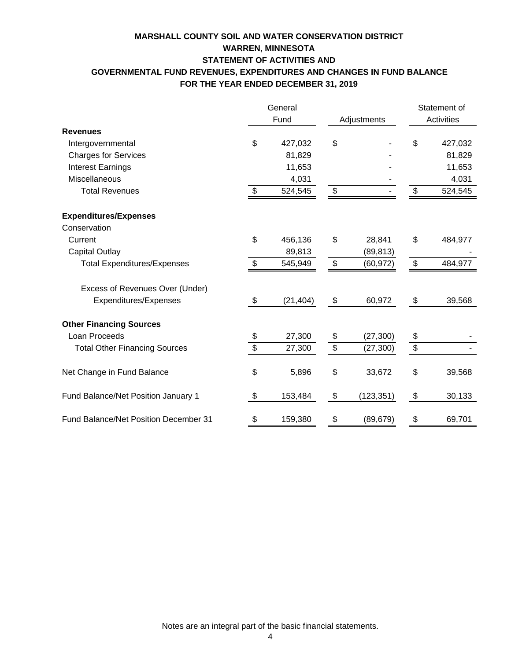# **MARSHALL COUNTY SOIL AND WATER CONSERVATION DISTRICT WARREN, MINNESOTA STATEMENT OF ACTIVITIES AND GOVERNMENTAL FUND REVENUES, EXPENDITURES AND CHANGES IN FUND BALANCE FOR THE YEAR ENDED DECEMBER 31, 2019**

|                                       | General |           |                 |             | Statement of               |         |
|---------------------------------------|---------|-----------|-----------------|-------------|----------------------------|---------|
|                                       | Fund    |           |                 | Adjustments | <b>Activities</b>          |         |
| <b>Revenues</b>                       |         |           |                 |             |                            |         |
| Intergovernmental                     | \$      | 427,032   | \$              |             | \$                         | 427,032 |
| <b>Charges for Services</b>           |         | 81,829    |                 |             |                            | 81,829  |
| <b>Interest Earnings</b>              |         | 11,653    |                 |             |                            | 11,653  |
| Miscellaneous                         |         | 4,031     |                 |             |                            | 4,031   |
| <b>Total Revenues</b>                 | \$      | 524,545   | \$              |             | \$                         | 524,545 |
| <b>Expenditures/Expenses</b>          |         |           |                 |             |                            |         |
| Conservation                          |         |           |                 |             |                            |         |
| Current                               | \$      | 456,136   | \$              | 28,841      | \$                         | 484,977 |
| <b>Capital Outlay</b>                 |         | 89,813    |                 | (89, 813)   |                            |         |
| <b>Total Expenditures/Expenses</b>    | \$      | 545,949   | \$              | (60, 972)   | $\boldsymbol{\mathsf{\$}}$ | 484,977 |
| Excess of Revenues Over (Under)       |         |           |                 |             |                            |         |
| Expenditures/Expenses                 | \$      | (21, 404) | \$              | 60,972      | \$                         | 39,568  |
| <b>Other Financing Sources</b>        |         |           |                 |             |                            |         |
| Loan Proceeds                         | S       | 27,300    | \$              | (27, 300)   | \$                         |         |
| <b>Total Other Financing Sources</b>  | \$      | 27,300    | $\overline{\$}$ | (27, 300)   | $\overline{\$}$            |         |
| Net Change in Fund Balance            | \$      | 5,896     | \$              | 33,672      | \$                         | 39,568  |
| Fund Balance/Net Position January 1   | \$      | 153,484   | \$              | (123, 351)  | \$                         | 30,133  |
| Fund Balance/Net Position December 31 | Ъ       | 159,380   | \$              | (89, 679)   | \$                         | 69,701  |

Notes are an integral part of the basic financial statements.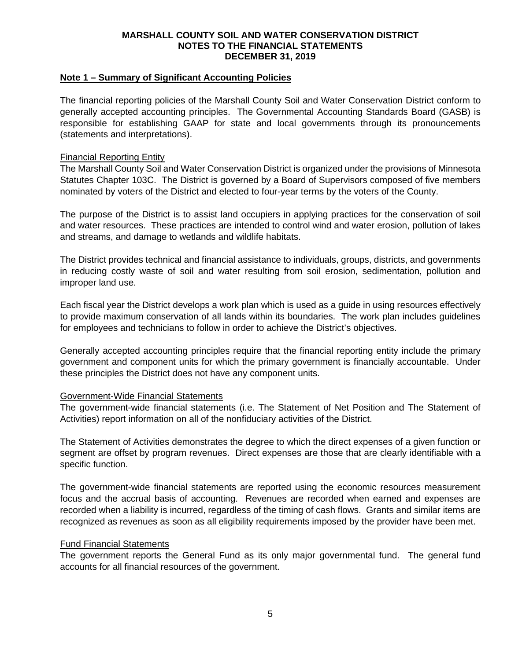## **Note 1 – Summary of Significant Accounting Policies**

The financial reporting policies of the Marshall County Soil and Water Conservation District conform to generally accepted accounting principles. The Governmental Accounting Standards Board (GASB) is responsible for establishing GAAP for state and local governments through its pronouncements (statements and interpretations).

#### Financial Reporting Entity

The Marshall County Soil and Water Conservation District is organized under the provisions of Minnesota Statutes Chapter 103C. The District is governed by a Board of Supervisors composed of five members nominated by voters of the District and elected to four-year terms by the voters of the County.

The purpose of the District is to assist land occupiers in applying practices for the conservation of soil and water resources. These practices are intended to control wind and water erosion, pollution of lakes and streams, and damage to wetlands and wildlife habitats.

The District provides technical and financial assistance to individuals, groups, districts, and governments in reducing costly waste of soil and water resulting from soil erosion, sedimentation, pollution and improper land use.

Each fiscal year the District develops a work plan which is used as a guide in using resources effectively to provide maximum conservation of all lands within its boundaries. The work plan includes guidelines for employees and technicians to follow in order to achieve the District's objectives.

Generally accepted accounting principles require that the financial reporting entity include the primary government and component units for which the primary government is financially accountable. Under these principles the District does not have any component units.

## Government-Wide Financial Statements

The government-wide financial statements (i.e. The Statement of Net Position and The Statement of Activities) report information on all of the nonfiduciary activities of the District.

The Statement of Activities demonstrates the degree to which the direct expenses of a given function or segment are offset by program revenues. Direct expenses are those that are clearly identifiable with a specific function.

The government-wide financial statements are reported using the economic resources measurement focus and the accrual basis of accounting. Revenues are recorded when earned and expenses are recorded when a liability is incurred, regardless of the timing of cash flows. Grants and similar items are recognized as revenues as soon as all eligibility requirements imposed by the provider have been met.

#### Fund Financial Statements

The government reports the General Fund as its only major governmental fund. The general fund accounts for all financial resources of the government.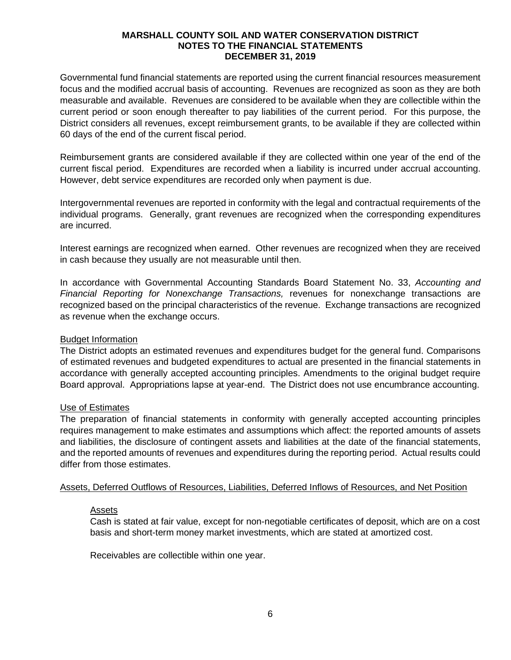Governmental fund financial statements are reported using the current financial resources measurement focus and the modified accrual basis of accounting. Revenues are recognized as soon as they are both measurable and available. Revenues are considered to be available when they are collectible within the current period or soon enough thereafter to pay liabilities of the current period. For this purpose, the District considers all revenues, except reimbursement grants, to be available if they are collected within 60 days of the end of the current fiscal period.

Reimbursement grants are considered available if they are collected within one year of the end of the current fiscal period. Expenditures are recorded when a liability is incurred under accrual accounting. However, debt service expenditures are recorded only when payment is due.

Intergovernmental revenues are reported in conformity with the legal and contractual requirements of the individual programs. Generally, grant revenues are recognized when the corresponding expenditures are incurred.

Interest earnings are recognized when earned. Other revenues are recognized when they are received in cash because they usually are not measurable until then.

In accordance with Governmental Accounting Standards Board Statement No. 33, *Accounting and Financial Reporting for Nonexchange Transactions,* revenues for nonexchange transactions are recognized based on the principal characteristics of the revenue. Exchange transactions are recognized as revenue when the exchange occurs.

## Budget Information

The District adopts an estimated revenues and expenditures budget for the general fund. Comparisons of estimated revenues and budgeted expenditures to actual are presented in the financial statements in accordance with generally accepted accounting principles. Amendments to the original budget require Board approval. Appropriations lapse at year-end. The District does not use encumbrance accounting.

#### Use of Estimates

The preparation of financial statements in conformity with generally accepted accounting principles requires management to make estimates and assumptions which affect: the reported amounts of assets and liabilities, the disclosure of contingent assets and liabilities at the date of the financial statements, and the reported amounts of revenues and expenditures during the reporting period. Actual results could differ from those estimates.

# Assets, Deferred Outflows of Resources, Liabilities, Deferred Inflows of Resources, and Net Position

#### **Assets**

Cash is stated at fair value, except for non-negotiable certificates of deposit, which are on a cost basis and short-term money market investments, which are stated at amortized cost.

Receivables are collectible within one year.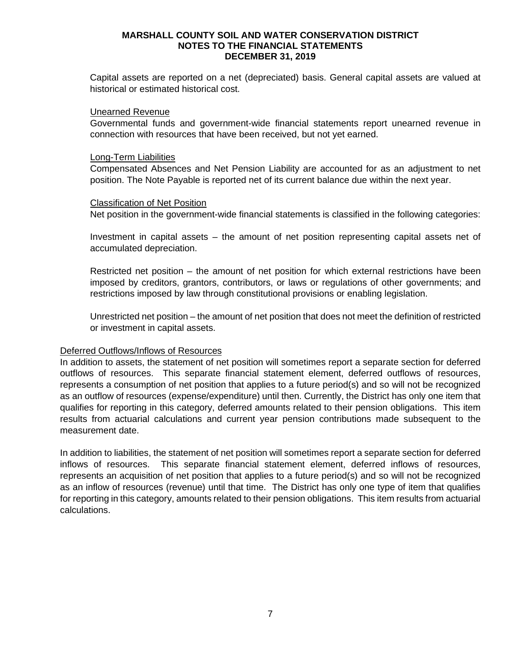Capital assets are reported on a net (depreciated) basis. General capital assets are valued at historical or estimated historical cost.

#### Unearned Revenue

Governmental funds and government-wide financial statements report unearned revenue in connection with resources that have been received, but not yet earned.

#### Long-Term Liabilities

Compensated Absences and Net Pension Liability are accounted for as an adjustment to net position. The Note Payable is reported net of its current balance due within the next year.

#### Classification of Net Position

Net position in the government-wide financial statements is classified in the following categories:

Investment in capital assets – the amount of net position representing capital assets net of accumulated depreciation.

Restricted net position – the amount of net position for which external restrictions have been imposed by creditors, grantors, contributors, or laws or regulations of other governments; and restrictions imposed by law through constitutional provisions or enabling legislation.

Unrestricted net position – the amount of net position that does not meet the definition of restricted or investment in capital assets.

#### Deferred Outflows/Inflows of Resources

In addition to assets, the statement of net position will sometimes report a separate section for deferred outflows of resources. This separate financial statement element, deferred outflows of resources, represents a consumption of net position that applies to a future period(s) and so will not be recognized as an outflow of resources (expense/expenditure) until then. Currently, the District has only one item that qualifies for reporting in this category, deferred amounts related to their pension obligations. This item results from actuarial calculations and current year pension contributions made subsequent to the measurement date.

In addition to liabilities, the statement of net position will sometimes report a separate section for deferred inflows of resources. This separate financial statement element, deferred inflows of resources, represents an acquisition of net position that applies to a future period(s) and so will not be recognized as an inflow of resources (revenue) until that time. The District has only one type of item that qualifies for reporting in this category, amounts related to their pension obligations. This item results from actuarial calculations.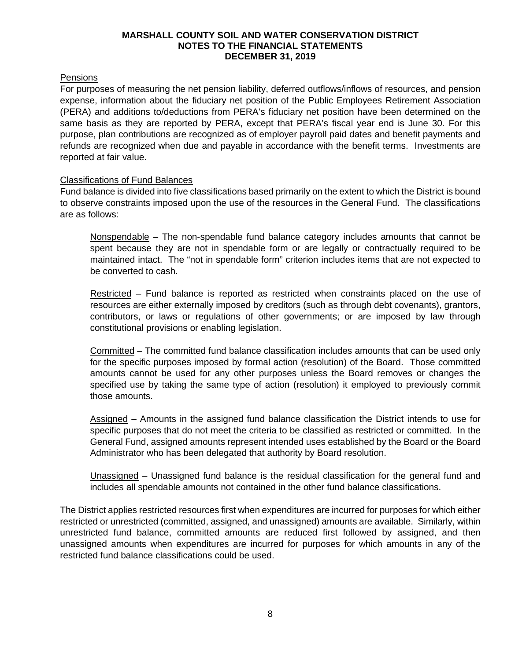## Pensions

For purposes of measuring the net pension liability, deferred outflows/inflows of resources, and pension expense, information about the fiduciary net position of the Public Employees Retirement Association (PERA) and additions to/deductions from PERA's fiduciary net position have been determined on the same basis as they are reported by PERA, except that PERA's fiscal year end is June 30. For this purpose, plan contributions are recognized as of employer payroll paid dates and benefit payments and refunds are recognized when due and payable in accordance with the benefit terms. Investments are reported at fair value.

## Classifications of Fund Balances

Fund balance is divided into five classifications based primarily on the extent to which the District is bound to observe constraints imposed upon the use of the resources in the General Fund. The classifications are as follows:

Nonspendable – The non-spendable fund balance category includes amounts that cannot be spent because they are not in spendable form or are legally or contractually required to be maintained intact. The "not in spendable form" criterion includes items that are not expected to be converted to cash.

Restricted – Fund balance is reported as restricted when constraints placed on the use of resources are either externally imposed by creditors (such as through debt covenants), grantors, contributors, or laws or regulations of other governments; or are imposed by law through constitutional provisions or enabling legislation.

Committed – The committed fund balance classification includes amounts that can be used only for the specific purposes imposed by formal action (resolution) of the Board. Those committed amounts cannot be used for any other purposes unless the Board removes or changes the specified use by taking the same type of action (resolution) it employed to previously commit those amounts.

Assigned – Amounts in the assigned fund balance classification the District intends to use for specific purposes that do not meet the criteria to be classified as restricted or committed. In the General Fund, assigned amounts represent intended uses established by the Board or the Board Administrator who has been delegated that authority by Board resolution.

Unassigned – Unassigned fund balance is the residual classification for the general fund and includes all spendable amounts not contained in the other fund balance classifications.

The District applies restricted resources first when expenditures are incurred for purposes for which either restricted or unrestricted (committed, assigned, and unassigned) amounts are available. Similarly, within unrestricted fund balance, committed amounts are reduced first followed by assigned, and then unassigned amounts when expenditures are incurred for purposes for which amounts in any of the restricted fund balance classifications could be used.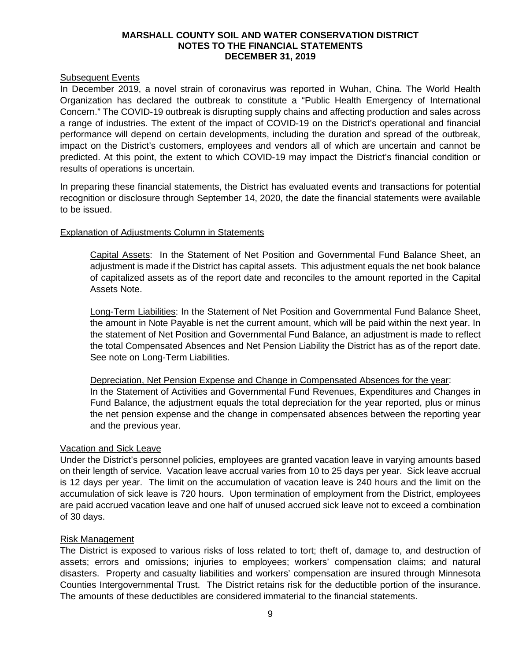## Subsequent Events

In December 2019, a novel strain of coronavirus was reported in Wuhan, China. The World Health Organization has declared the outbreak to constitute a "Public Health Emergency of International Concern." The COVID-19 outbreak is disrupting supply chains and affecting production and sales across a range of industries. The extent of the impact of COVID-19 on the District's operational and financial performance will depend on certain developments, including the duration and spread of the outbreak, impact on the District's customers, employees and vendors all of which are uncertain and cannot be predicted. At this point, the extent to which COVID-19 may impact the District's financial condition or results of operations is uncertain.

In preparing these financial statements, the District has evaluated events and transactions for potential recognition or disclosure through September 14, 2020, the date the financial statements were available to be issued.

## Explanation of Adjustments Column in Statements

Capital Assets: In the Statement of Net Position and Governmental Fund Balance Sheet, an adjustment is made if the District has capital assets. This adjustment equals the net book balance of capitalized assets as of the report date and reconciles to the amount reported in the Capital Assets Note.

Long-Term Liabilities: In the Statement of Net Position and Governmental Fund Balance Sheet, the amount in Note Payable is net the current amount, which will be paid within the next year. In the statement of Net Position and Governmental Fund Balance, an adjustment is made to reflect the total Compensated Absences and Net Pension Liability the District has as of the report date. See note on Long-Term Liabilities.

Depreciation, Net Pension Expense and Change in Compensated Absences for the year:

In the Statement of Activities and Governmental Fund Revenues, Expenditures and Changes in Fund Balance, the adjustment equals the total depreciation for the year reported, plus or minus the net pension expense and the change in compensated absences between the reporting year and the previous year.

#### Vacation and Sick Leave

Under the District's personnel policies, employees are granted vacation leave in varying amounts based on their length of service. Vacation leave accrual varies from 10 to 25 days per year. Sick leave accrual is 12 days per year. The limit on the accumulation of vacation leave is 240 hours and the limit on the accumulation of sick leave is 720 hours. Upon termination of employment from the District, employees are paid accrued vacation leave and one half of unused accrued sick leave not to exceed a combination of 30 days.

#### Risk Management

The District is exposed to various risks of loss related to tort; theft of, damage to, and destruction of assets; errors and omissions; injuries to employees; workers' compensation claims; and natural disasters. Property and casualty liabilities and workers' compensation are insured through Minnesota Counties Intergovernmental Trust. The District retains risk for the deductible portion of the insurance. The amounts of these deductibles are considered immaterial to the financial statements.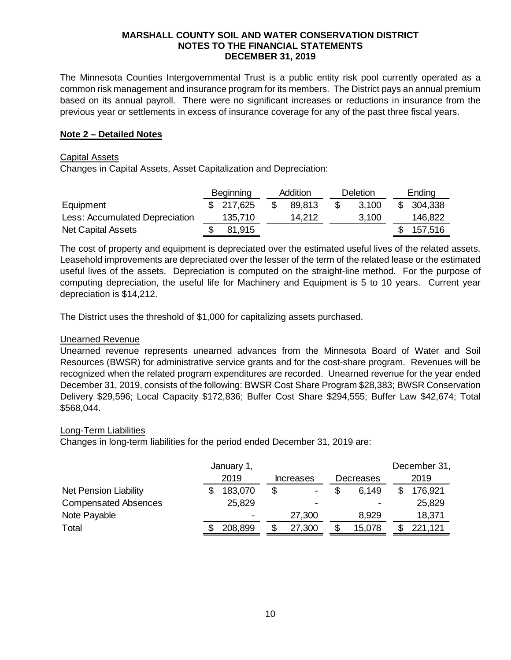The Minnesota Counties Intergovernmental Trust is a public entity risk pool currently operated as a common risk management and insurance program for its members. The District pays an annual premium based on its annual payroll. There were no significant increases or reductions in insurance from the previous year or settlements in excess of insurance coverage for any of the past three fiscal years.

## **Note 2 – Detailed Notes**

#### Capital Assets

Changes in Capital Assets, Asset Capitalization and Depreciation:

|                                | <b>Beginning</b> | Addition | <b>Deletion</b> | Ending    |
|--------------------------------|------------------|----------|-----------------|-----------|
| Equipment                      | \$ 217,625       | 89.813   | 3.100           | \$304,338 |
| Less: Accumulated Depreciation | 135.710          | 14.212   | 3,100           | 146,822   |
| <b>Net Capital Assets</b>      | 81,915           |          |                 | 157,516   |

The cost of property and equipment is depreciated over the estimated useful lives of the related assets. Leasehold improvements are depreciated over the lesser of the term of the related lease or the estimated useful lives of the assets. Depreciation is computed on the straight-line method. For the purpose of computing depreciation, the useful life for Machinery and Equipment is 5 to 10 years. Current year depreciation is \$14,212.

The District uses the threshold of \$1,000 for capitalizing assets purchased.

#### Unearned Revenue

Unearned revenue represents unearned advances from the Minnesota Board of Water and Soil Resources (BWSR) for administrative service grants and for the cost-share program. Revenues will be recognized when the related program expenditures are recorded. Unearned revenue for the year ended December 31, 2019, consists of the following: BWSR Cost Share Program \$28,383; BWSR Conservation Delivery \$29,596; Local Capacity \$172,836; Buffer Cost Share \$294,555; Buffer Law \$42,674; Total \$568,044.

#### Long-Term Liabilities

Changes in long-term liabilities for the period ended December 31, 2019 are:

|                              | January 1, |                  |           | December 31, |
|------------------------------|------------|------------------|-----------|--------------|
|                              | 2019       | <b>Increases</b> | Decreases | 2019         |
| <b>Net Pension Liability</b> | 183,070    |                  | 6.149     | 176,921      |
| <b>Compensated Absences</b>  | 25,829     |                  |           | 25,829       |
| Note Payable                 | -          | 27,300           | 8,929     | 18,371       |
| Total                        | 208,899    | 27,300           | 15,078    | 221,121      |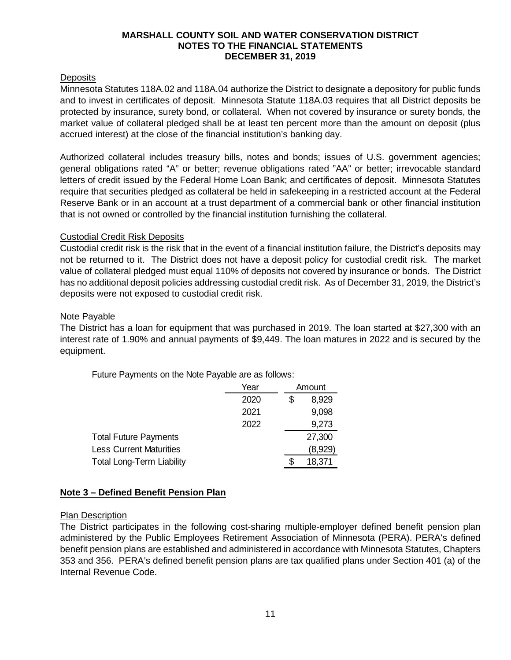# **Deposits**

Minnesota Statutes 118A.02 and 118A.04 authorize the District to designate a depository for public funds and to invest in certificates of deposit. Minnesota Statute 118A.03 requires that all District deposits be protected by insurance, surety bond, or collateral. When not covered by insurance or surety bonds, the market value of collateral pledged shall be at least ten percent more than the amount on deposit (plus accrued interest) at the close of the financial institution's banking day.

Authorized collateral includes treasury bills, notes and bonds; issues of U.S. government agencies; general obligations rated "A" or better; revenue obligations rated "AA" or better; irrevocable standard letters of credit issued by the Federal Home Loan Bank; and certificates of deposit. Minnesota Statutes require that securities pledged as collateral be held in safekeeping in a restricted account at the Federal Reserve Bank or in an account at a trust department of a commercial bank or other financial institution that is not owned or controlled by the financial institution furnishing the collateral.

## Custodial Credit Risk Deposits

Custodial credit risk is the risk that in the event of a financial institution failure, the District's deposits may not be returned to it. The District does not have a deposit policy for custodial credit risk. The market value of collateral pledged must equal 110% of deposits not covered by insurance or bonds. The District has no additional deposit policies addressing custodial credit risk. As of December 31, 2019, the District's deposits were not exposed to custodial credit risk.

## Note Payable

The District has a loan for equipment that was purchased in 2019. The loan started at \$27,300 with an interest rate of 1.90% and annual payments of \$9,449. The loan matures in 2022 and is secured by the equipment.

|                                  | Year | Amount      |  |
|----------------------------------|------|-------------|--|
|                                  | 2020 | \$<br>8,929 |  |
|                                  | 2021 | 9,098       |  |
|                                  | 2022 | 9,273       |  |
| <b>Total Future Payments</b>     |      | 27,300      |  |
| <b>Less Current Maturities</b>   |      | (8,929)     |  |
| <b>Total Long-Term Liability</b> |      | 18,371      |  |

Future Payments on the Note Payable are as follows:

## **Note 3 – Defined Benefit Pension Plan**

#### Plan Description

The District participates in the following cost-sharing multiple-employer defined benefit pension plan administered by the Public Employees Retirement Association of Minnesota (PERA). PERA's defined benefit pension plans are established and administered in accordance with Minnesota Statutes, Chapters 353 and 356. PERA's defined benefit pension plans are tax qualified plans under Section 401 (a) of the Internal Revenue Code.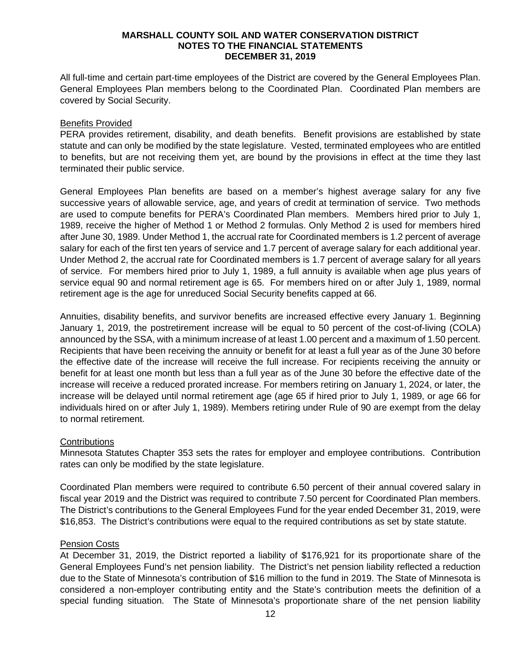All full-time and certain part-time employees of the District are covered by the General Employees Plan. General Employees Plan members belong to the Coordinated Plan. Coordinated Plan members are covered by Social Security.

## Benefits Provided

PERA provides retirement, disability, and death benefits. Benefit provisions are established by state statute and can only be modified by the state legislature. Vested, terminated employees who are entitled to benefits, but are not receiving them yet, are bound by the provisions in effect at the time they last terminated their public service.

General Employees Plan benefits are based on a member's highest average salary for any five successive years of allowable service, age, and years of credit at termination of service. Two methods are used to compute benefits for PERA's Coordinated Plan members. Members hired prior to July 1, 1989, receive the higher of Method 1 or Method 2 formulas. Only Method 2 is used for members hired after June 30, 1989. Under Method 1, the accrual rate for Coordinated members is 1.2 percent of average salary for each of the first ten years of service and 1.7 percent of average salary for each additional year. Under Method 2, the accrual rate for Coordinated members is 1.7 percent of average salary for all years of service. For members hired prior to July 1, 1989, a full annuity is available when age plus years of service equal 90 and normal retirement age is 65. For members hired on or after July 1, 1989, normal retirement age is the age for unreduced Social Security benefits capped at 66.

Annuities, disability benefits, and survivor benefits are increased effective every January 1. Beginning January 1, 2019, the postretirement increase will be equal to 50 percent of the cost-of-living (COLA) announced by the SSA, with a minimum increase of at least 1.00 percent and a maximum of 1.50 percent. Recipients that have been receiving the annuity or benefit for at least a full year as of the June 30 before the effective date of the increase will receive the full increase. For recipients receiving the annuity or benefit for at least one month but less than a full year as of the June 30 before the effective date of the increase will receive a reduced prorated increase. For members retiring on January 1, 2024, or later, the increase will be delayed until normal retirement age (age 65 if hired prior to July 1, 1989, or age 66 for individuals hired on or after July 1, 1989). Members retiring under Rule of 90 are exempt from the delay to normal retirement.

#### Contributions

Minnesota Statutes Chapter 353 sets the rates for employer and employee contributions. Contribution rates can only be modified by the state legislature.

Coordinated Plan members were required to contribute 6.50 percent of their annual covered salary in fiscal year 2019 and the District was required to contribute 7.50 percent for Coordinated Plan members. The District's contributions to the General Employees Fund for the year ended December 31, 2019, were \$16,853. The District's contributions were equal to the required contributions as set by state statute.

#### Pension Costs

At December 31, 2019, the District reported a liability of \$176,921 for its proportionate share of the General Employees Fund's net pension liability. The District's net pension liability reflected a reduction due to the State of Minnesota's contribution of \$16 million to the fund in 2019. The State of Minnesota is considered a non-employer contributing entity and the State's contribution meets the definition of a special funding situation. The State of Minnesota's proportionate share of the net pension liability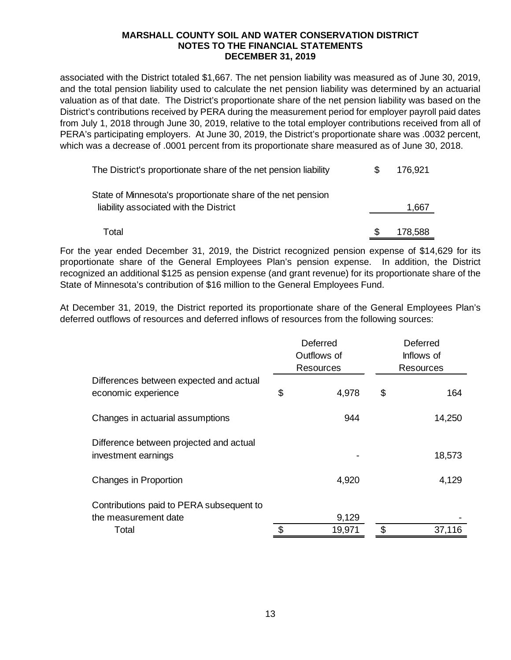associated with the District totaled \$1,667. The net pension liability was measured as of June 30, 2019, and the total pension liability used to calculate the net pension liability was determined by an actuarial valuation as of that date. The District's proportionate share of the net pension liability was based on the District's contributions received by PERA during the measurement period for employer payroll paid dates from July 1, 2018 through June 30, 2019, relative to the total employer contributions received from all of PERA's participating employers. At June 30, 2019, the District's proportionate share was .0032 percent, which was a decrease of .0001 percent from its proportionate share measured as of June 30, 2018.

| The District's proportionate share of the net pension liability | \$. | 176.921 |
|-----------------------------------------------------------------|-----|---------|
| State of Minnesota's proportionate share of the net pension     |     |         |
| liability associated with the District                          |     | 1,667   |
| Total                                                           |     | 178,588 |

For the year ended December 31, 2019, the District recognized pension expense of \$14,629 for its proportionate share of the General Employees Plan's pension expense. In addition, the District recognized an additional \$125 as pension expense (and grant revenue) for its proportionate share of the State of Minnesota's contribution of \$16 million to the General Employees Fund.

At December 31, 2019, the District reported its proportionate share of the General Employees Plan's deferred outflows of resources and deferred inflows of resources from the following sources:

|                                                                  | Deferred<br>Outflows of | Deferred<br>Inflows of |                  |  |
|------------------------------------------------------------------|-------------------------|------------------------|------------------|--|
|                                                                  | <b>Resources</b>        |                        | <b>Resources</b> |  |
| Differences between expected and actual<br>economic experience   | \$<br>4,978             | \$                     | 164              |  |
| Changes in actuarial assumptions                                 | 944                     |                        | 14,250           |  |
| Difference between projected and actual<br>investment earnings   |                         |                        | 18,573           |  |
| Changes in Proportion                                            | 4,920                   |                        | 4,129            |  |
| Contributions paid to PERA subsequent to<br>the measurement date | 9,129                   |                        |                  |  |
| Total                                                            | 19,971                  | \$                     | 37,116           |  |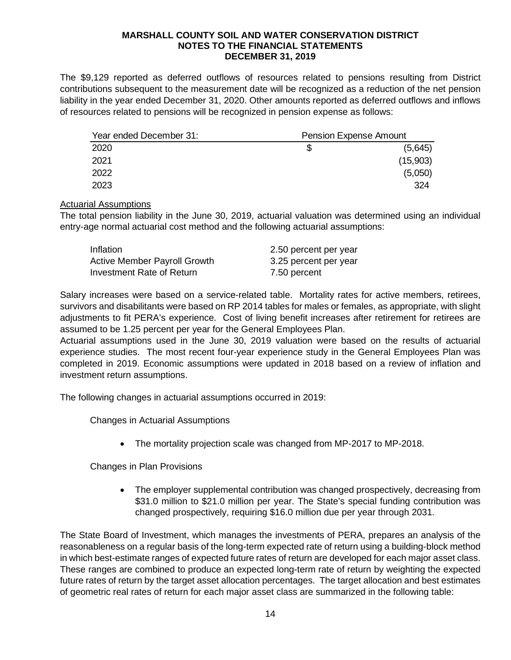The \$9,129 reported as deferred outflows of resources related to pensions resulting from District contributions subsequent to the measurement date will be recognized as a reduction of the net pension liability in the year ended December 31, 2020. Other amounts reported as deferred outflows and inflows of resources related to pensions will be recognized in pension expense as follows:

| Year ended December 31: | <b>Pension Expense Amount</b> |          |
|-------------------------|-------------------------------|----------|
| 2020                    |                               | (5,645)  |
| 2021                    |                               | (15,903) |
| 2022                    |                               | (5,050)  |
| 2023                    |                               | 324      |

## Actuarial Assumptions

The total pension liability in the June 30, 2019, actuarial valuation was determined using an individual entry-age normal actuarial cost method and the following actuarial assumptions:

| Inflation                    | 2.50 percent per year |
|------------------------------|-----------------------|
| Active Member Payroll Growth | 3.25 percent per year |
| Investment Rate of Return    | 7.50 percent          |

Salary increases were based on a service-related table. Mortality rates for active members, retirees, survivors and disabilitants were based on RP 2014 tables for males or females, as appropriate, with slight adjustments to fit PERA's experience. Cost of living benefit increases after retirement for retirees are assumed to be 1.25 percent per year for the General Employees Plan.

Actuarial assumptions used in the June 30, 2019 valuation were based on the results of actuarial experience studies. The most recent four-year experience study in the General Employees Plan was completed in 2019. Economic assumptions were updated in 2018 based on a review of inflation and investment return assumptions.

The following changes in actuarial assumptions occurred in 2019:

Changes in Actuarial Assumptions

• The mortality projection scale was changed from MP-2017 to MP-2018.

Changes in Plan Provisions

• The employer supplemental contribution was changed prospectively, decreasing from \$31.0 million to \$21.0 million per year. The State's special funding contribution was changed prospectively, requiring \$16.0 million due per year through 2031.

The State Board of Investment, which manages the investments of PERA, prepares an analysis of the reasonableness on a regular basis of the long-term expected rate of return using a building-block method in which best-estimate ranges of expected future rates of return are developed for each major asset class. These ranges are combined to produce an expected long-term rate of return by weighting the expected future rates of return by the target asset allocation percentages. The target allocation and best estimates of geometric real rates of return for each major asset class are summarized in the following table: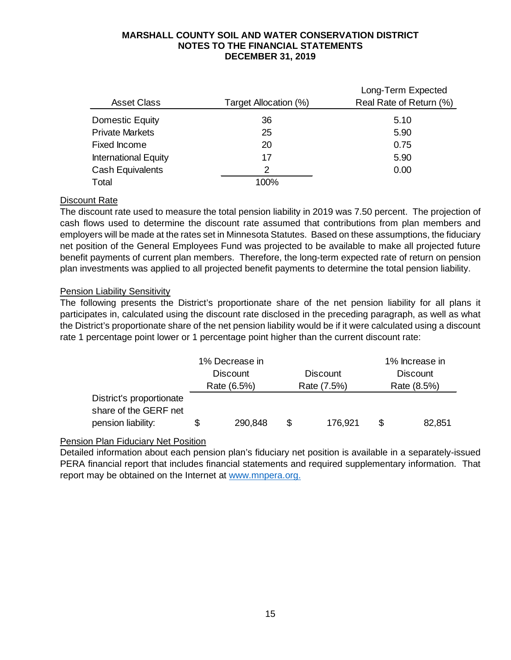|                             |                       | Long-Term Expected      |
|-----------------------------|-----------------------|-------------------------|
| <b>Asset Class</b>          | Target Allocation (%) | Real Rate of Return (%) |
| Domestic Equity             | 36                    | 5.10                    |
| <b>Private Markets</b>      | 25                    | 5.90                    |
| Fixed Income                | 20                    | 0.75                    |
| <b>International Equity</b> | 17                    | 5.90                    |
| Cash Equivalents            | 2                     | 0.00                    |
| Total                       | 100%                  |                         |

# Discount Rate

The discount rate used to measure the total pension liability in 2019 was 7.50 percent. The projection of cash flows used to determine the discount rate assumed that contributions from plan members and employers will be made at the rates set in Minnesota Statutes. Based on these assumptions, the fiduciary net position of the General Employees Fund was projected to be available to make all projected future benefit payments of current plan members. Therefore, the long-term expected rate of return on pension plan investments was applied to all projected benefit payments to determine the total pension liability.

# Pension Liability Sensitivity

The following presents the District's proportionate share of the net pension liability for all plans it participates in, calculated using the discount rate disclosed in the preceding paragraph, as well as what the District's proportionate share of the net pension liability would be if it were calculated using a discount rate 1 percentage point lower or 1 percentage point higher than the current discount rate:

|                          |    | 1% Decrease in  |   |                 | 1% Increase in  |
|--------------------------|----|-----------------|---|-----------------|-----------------|
|                          |    | <b>Discount</b> |   | <b>Discount</b> | <b>Discount</b> |
|                          |    | Rate (6.5%)     |   | Rate (7.5%)     | Rate (8.5%)     |
| District's proportionate |    |                 |   |                 |                 |
| share of the GERF net    |    |                 |   |                 |                 |
| pension liability:       | 35 | 290,848         | S | 176,921         | 82,851          |

# Pension Plan Fiduciary Net Position

Detailed information about each pension plan's fiduciary net position is available in a separately-issued PERA financial report that includes financial statements and required supplementary information. That report may be obtained on the Internet at [www.mnpera.org.](http://www.mnpera.org/)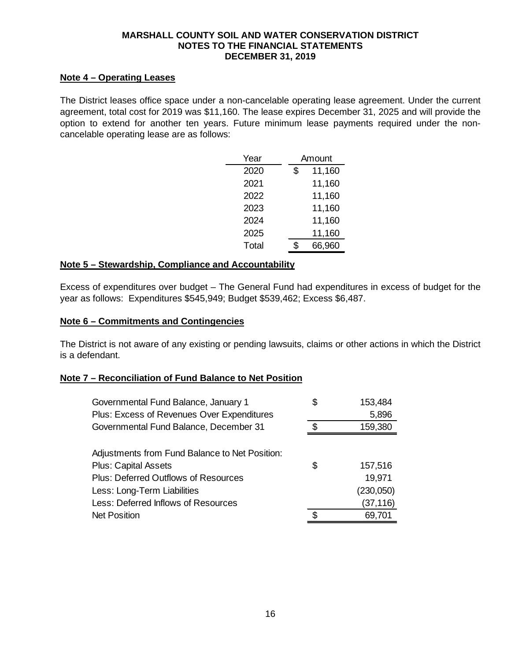## **Note 4 – Operating Leases**

The District leases office space under a non-cancelable operating lease agreement. Under the current agreement, total cost for 2019 was \$11,160. The lease expires December 31, 2025 and will provide the option to extend for another ten years. Future minimum lease payments required under the noncancelable operating lease are as follows:

| Year  | Amount       |  |  |  |
|-------|--------------|--|--|--|
| 2020  | \$<br>11,160 |  |  |  |
| 2021  | 11,160       |  |  |  |
| 2022  | 11,160       |  |  |  |
| 2023  | 11,160       |  |  |  |
| 2024  | 11,160       |  |  |  |
| 2025  | 11,160       |  |  |  |
| Total | 66,960       |  |  |  |

## **Note 5 – Stewardship, Compliance and Accountability**

Excess of expenditures over budget – The General Fund had expenditures in excess of budget for the year as follows: Expenditures \$545,949; Budget \$539,462; Excess \$6,487.

## **Note 6 – Commitments and Contingencies**

The District is not aware of any existing or pending lawsuits, claims or other actions in which the District is a defendant.

## **Note 7 – Reconciliation of Fund Balance to Net Position**

| Governmental Fund Balance, January 1           | \$<br>153,484 |
|------------------------------------------------|---------------|
| Plus: Excess of Revenues Over Expenditures     | 5,896         |
| Governmental Fund Balance, December 31         | \$<br>159,380 |
|                                                |               |
| Adjustments from Fund Balance to Net Position: |               |
| <b>Plus: Capital Assets</b>                    | \$<br>157,516 |
| <b>Plus: Deferred Outflows of Resources</b>    | 19,971        |
| Less: Long-Term Liabilities                    | (230, 050)    |
| Less: Deferred Inflows of Resources            | (37, 116)     |
| <b>Net Position</b>                            | 69,701        |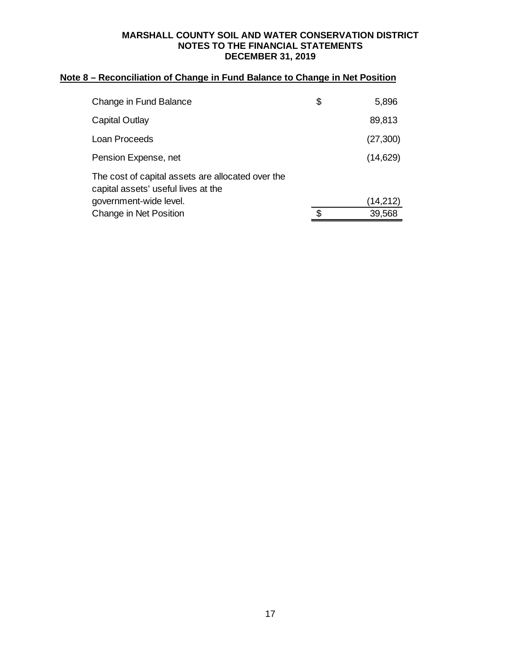# **Note 8 – Reconciliation of Change in Fund Balance to Change in Net Position**

| Change in Fund Balance                                                                                             | \$<br>5,896  |
|--------------------------------------------------------------------------------------------------------------------|--------------|
| Capital Outlay                                                                                                     | 89,813       |
| Loan Proceeds                                                                                                      | (27, 300)    |
| Pension Expense, net                                                                                               | (14, 629)    |
| The cost of capital assets are allocated over the<br>capital assets' useful lives at the<br>government-wide level. | (14,212)     |
|                                                                                                                    |              |
| Change in Net Position                                                                                             | \$<br>39,568 |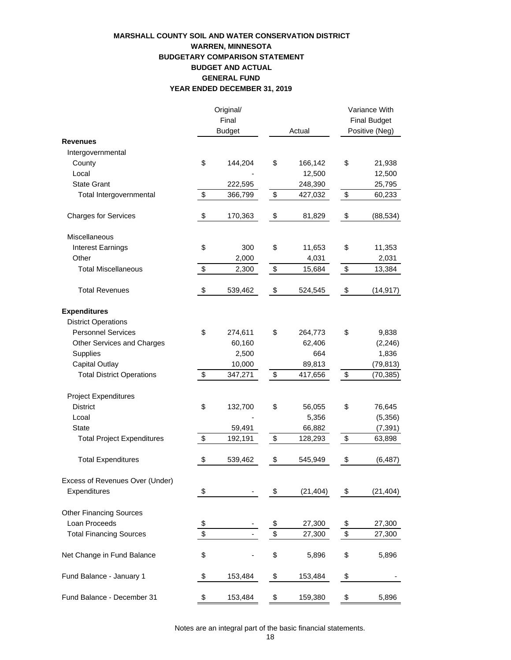#### **MARSHALL COUNTY SOIL AND WATER CONSERVATION DISTRICT WARREN, MINNESOTA BUDGETARY COMPARISON STATEMENT BUDGET AND ACTUAL GENERAL FUND YEAR ENDED DECEMBER 31, 2019**

|                                   | Original/     |                 |                                       | Variance With |  |
|-----------------------------------|---------------|-----------------|---------------------------------------|---------------|--|
|                                   | Final         |                 | <b>Final Budget</b><br>Positive (Neg) |               |  |
|                                   | <b>Budget</b> | Actual          |                                       |               |  |
| <b>Revenues</b>                   |               |                 |                                       |               |  |
| Intergovernmental                 |               |                 |                                       |               |  |
| County                            | \$<br>144,204 | \$<br>166,142   | \$                                    | 21,938        |  |
| Local                             |               | 12,500          |                                       | 12,500        |  |
| <b>State Grant</b>                | 222,595       | 248,390         |                                       | 25,795        |  |
| Total Intergovernmental           | \$<br>366,799 | \$<br>427,032   | \$                                    | 60,233        |  |
| <b>Charges for Services</b>       | \$<br>170,363 | \$<br>81,829    | \$                                    | (88, 534)     |  |
| Miscellaneous                     |               |                 |                                       |               |  |
| <b>Interest Earnings</b>          | \$<br>300     | \$<br>11,653    | \$                                    | 11,353        |  |
| Other                             | 2,000         | 4,031           |                                       | 2,031         |  |
| <b>Total Miscellaneous</b>        | \$<br>2,300   | \$<br>15,684    | \$                                    | 13,384        |  |
| <b>Total Revenues</b>             | \$<br>539,462 | \$<br>524,545   | \$                                    | (14, 917)     |  |
| <b>Expenditures</b>               |               |                 |                                       |               |  |
| <b>District Operations</b>        |               |                 |                                       |               |  |
| <b>Personnel Services</b>         | \$<br>274,611 | \$<br>264,773   | \$                                    | 9,838         |  |
| Other Services and Charges        | 60,160        | 62,406          |                                       | (2, 246)      |  |
| Supplies                          | 2,500         | 664             |                                       | 1,836         |  |
| Capital Outlay                    | 10,000        | 89,813          |                                       | (79, 813)     |  |
| <b>Total District Operations</b>  | \$<br>347,271 | \$<br>417,656   | \$                                    | (70, 385)     |  |
| <b>Project Expenditures</b>       |               |                 |                                       |               |  |
| <b>District</b>                   | \$<br>132,700 | \$<br>56,055    | \$                                    | 76,645        |  |
| Lcoal                             |               | 5,356           |                                       | (5,356)       |  |
| <b>State</b>                      | 59,491        | 66,882          |                                       | (7, 391)      |  |
| <b>Total Project Expenditures</b> | \$<br>192,191 | \$<br>128,293   | \$                                    | 63,898        |  |
| <b>Total Expenditures</b>         | \$<br>539,462 | \$<br>545,949   | \$                                    | (6, 487)      |  |
| Excess of Revenues Over (Under)   |               |                 |                                       |               |  |
| Expenditures                      | \$            | \$<br>(21, 404) | \$                                    | (21, 404)     |  |
| <b>Other Financing Sources</b>    |               |                 |                                       |               |  |
| Loan Proceeds                     | \$            | \$<br>27,300    | \$                                    | 27,300        |  |
| <b>Total Financing Sources</b>    | \$            | \$<br>27,300    | \$                                    | 27,300        |  |
| Net Change in Fund Balance        | \$            | \$<br>5,896     | \$                                    | 5,896         |  |
| Fund Balance - January 1          | \$<br>153,484 | \$<br>153,484   | \$                                    |               |  |
| Fund Balance - December 31        | \$<br>153,484 | \$<br>159,380   | \$                                    | 5,896         |  |

Notes are an integral part of the basic financial statements.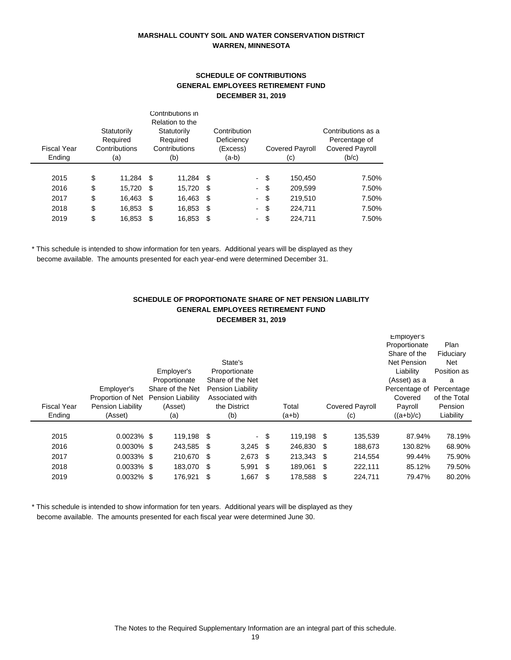#### **MARSHALL COUNTY SOIL AND WATER CONSERVATION DISTRICT WARREN, MINNESOTA**

#### **SCHEDULE OF CONTRIBUTIONS GENERAL EMPLOYEES RETIREMENT FUND DECEMBER 31, 2019**

| Fiscal Year<br>Ending | Statutorily<br>Required<br>Contributions<br>(a) | Contributions in<br>Relation to the<br>Statutorily<br>Required<br>Contributions<br>(b) |        |      | Contribution<br>Deficiency<br>(Excess)<br>$(a-b)$ |                | <b>Covered Payroll</b><br>(c) | Contributions as a<br>Percentage of<br><b>Covered Payroll</b><br>(b/c) |  |
|-----------------------|-------------------------------------------------|----------------------------------------------------------------------------------------|--------|------|---------------------------------------------------|----------------|-------------------------------|------------------------------------------------------------------------|--|
| 2015                  | \$<br>11,284                                    | - \$                                                                                   | 11,284 | - \$ |                                                   | $\blacksquare$ | \$<br>150,450                 | 7.50%                                                                  |  |
| 2016                  | \$<br>15,720                                    | -\$                                                                                    | 15,720 | - \$ |                                                   | $\sim$         | \$<br>209,599                 | 7.50%                                                                  |  |
| 2017                  | \$<br>16,463                                    | - \$                                                                                   | 16,463 | - \$ |                                                   | $\blacksquare$ | \$<br>219,510                 | 7.50%                                                                  |  |
| 2018                  | \$<br>16,853                                    | - \$                                                                                   | 16,853 | - \$ |                                                   | $\sim$         | \$<br>224,711                 | 7.50%                                                                  |  |
| 2019                  | \$<br>16,853                                    | S                                                                                      | 16,853 | \$   |                                                   | $\sim$         | \$<br>224,711                 | 7.50%                                                                  |  |

\* This schedule is intended to show information for ten years. Additional years will be displayed as they become available. The amounts presented for each year-end were determined December 31.

#### **SCHEDULE OF PROPORTIONATE SHARE OF NET PENSION LIABILITY GENERAL EMPLOYEES RETIREMENT FUND DECEMBER 31, 2019**

|                    |                   |                   |      |                   |      |            |      |                        | Employer's         |              |
|--------------------|-------------------|-------------------|------|-------------------|------|------------|------|------------------------|--------------------|--------------|
|                    |                   |                   |      |                   |      |            |      |                        | Proportionate      | Plan         |
|                    |                   |                   |      |                   |      |            |      |                        | Share of the       | Fiduciary    |
|                    |                   |                   |      | State's           |      |            |      |                        | <b>Net Pension</b> | Net          |
|                    |                   | Employer's        |      | Proportionate     |      |            |      |                        | Liability          | Position as  |
|                    |                   | Proportionate     |      | Share of the Net  |      |            |      |                        | (Asset) as a       | a            |
|                    | Employer's        | Share of the Net  |      | Pension Liability |      |            |      |                        | Percentage of      | Percentage   |
|                    | Proportion of Net | Pension Liability |      | Associated with   |      |            |      |                        | Covered            | of the Total |
| <b>Fiscal Year</b> | Pension Liability | (Asset)           |      | the District      |      | Total      |      | <b>Covered Payroll</b> | Payroll            | Pension      |
| Ending             | (Asset)           | (a)               |      | (b)               |      | $(a+b)$    |      | (c)                    | $((a+b)/c)$        | Liability    |
|                    |                   |                   |      |                   |      |            |      |                        |                    |              |
| 2015               | $0.0023\%$ \$     | 119,198 \$        |      |                   | - \$ | 119,198 \$ |      | 135,539                | 87.94%             | 78.19%       |
| 2016               | $0.0030\%$ \$     | 243,585           | - \$ | 3,245             | - \$ | 246,830 \$ |      | 188,673                | 130.82%            | 68.90%       |
| 2017               | $0.0033\%$ \$     | 210.670           | -\$  | 2,673             | -\$  | 213,343    | - \$ | 214.554                | 99.44%             | 75.90%       |
| 2018               | $0.0033\%$ \$     | 183,070           | -\$  | $5,991$ \$        |      | 189,061    | - \$ | 222,111                | 85.12%             | 79.50%       |
| 2019               | $0.0032\%$ \$     | 176,921           | \$   | 1,667             | \$   | 178,588    | S    | 224.711                | 79.47%             | 80.20%       |

\* This schedule is intended to show information for ten years. Additional years will be displayed as they become available. The amounts presented for each fiscal year were determined June 30.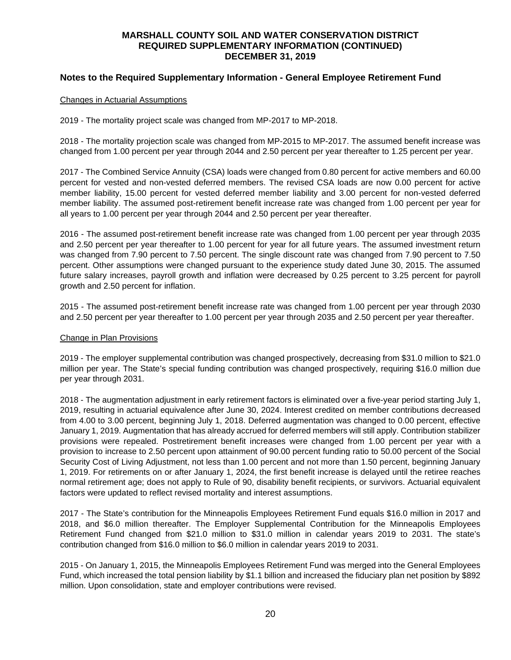## **MARSHALL COUNTY SOIL AND WATER CONSERVATION DISTRICT REQUIRED SUPPLEMENTARY INFORMATION (CONTINUED) DECEMBER 31, 2019**

## **Notes to the Required Supplementary Information - General Employee Retirement Fund**

#### Changes in Actuarial Assumptions

2019 - The mortality project scale was changed from MP-2017 to MP-2018.

2018 - The mortality projection scale was changed from MP-2015 to MP-2017. The assumed benefit increase was changed from 1.00 percent per year through 2044 and 2.50 percent per year thereafter to 1.25 percent per year.

2017 - The Combined Service Annuity (CSA) loads were changed from 0.80 percent for active members and 60.00 percent for vested and non-vested deferred members. The revised CSA loads are now 0.00 percent for active member liability, 15.00 percent for vested deferred member liability and 3.00 percent for non-vested deferred member liability. The assumed post-retirement benefit increase rate was changed from 1.00 percent per year for all years to 1.00 percent per year through 2044 and 2.50 percent per year thereafter.

2016 - The assumed post-retirement benefit increase rate was changed from 1.00 percent per year through 2035 and 2.50 percent per year thereafter to 1.00 percent for year for all future years. The assumed investment return was changed from 7.90 percent to 7.50 percent. The single discount rate was changed from 7.90 percent to 7.50 percent. Other assumptions were changed pursuant to the experience study dated June 30, 2015. The assumed future salary increases, payroll growth and inflation were decreased by 0.25 percent to 3.25 percent for payroll growth and 2.50 percent for inflation.

2015 - The assumed post-retirement benefit increase rate was changed from 1.00 percent per year through 2030 and 2.50 percent per year thereafter to 1.00 percent per year through 2035 and 2.50 percent per year thereafter.

#### Change in Plan Provisions

2019 - The employer supplemental contribution was changed prospectively, decreasing from \$31.0 million to \$21.0 million per year. The State's special funding contribution was changed prospectively, requiring \$16.0 million due per year through 2031.

2018 - The augmentation adjustment in early retirement factors is eliminated over a five-year period starting July 1, 2019, resulting in actuarial equivalence after June 30, 2024. Interest credited on member contributions decreased from 4.00 to 3.00 percent, beginning July 1, 2018. Deferred augmentation was changed to 0.00 percent, effective January 1, 2019. Augmentation that has already accrued for deferred members will still apply. Contribution stabilizer provisions were repealed. Postretirement benefit increases were changed from 1.00 percent per year with a provision to increase to 2.50 percent upon attainment of 90.00 percent funding ratio to 50.00 percent of the Social Security Cost of Living Adjustment, not less than 1.00 percent and not more than 1.50 percent, beginning January 1, 2019. For retirements on or after January 1, 2024, the first benefit increase is delayed until the retiree reaches normal retirement age; does not apply to Rule of 90, disability benefit recipients, or survivors. Actuarial equivalent factors were updated to reflect revised mortality and interest assumptions.

2017 - The State's contribution for the Minneapolis Employees Retirement Fund equals \$16.0 million in 2017 and 2018, and \$6.0 million thereafter. The Employer Supplemental Contribution for the Minneapolis Employees Retirement Fund changed from \$21.0 million to \$31.0 million in calendar years 2019 to 2031. The state's contribution changed from \$16.0 million to \$6.0 million in calendar years 2019 to 2031.

2015 - On January 1, 2015, the Minneapolis Employees Retirement Fund was merged into the General Employees Fund, which increased the total pension liability by \$1.1 billion and increased the fiduciary plan net position by \$892 million. Upon consolidation, state and employer contributions were revised.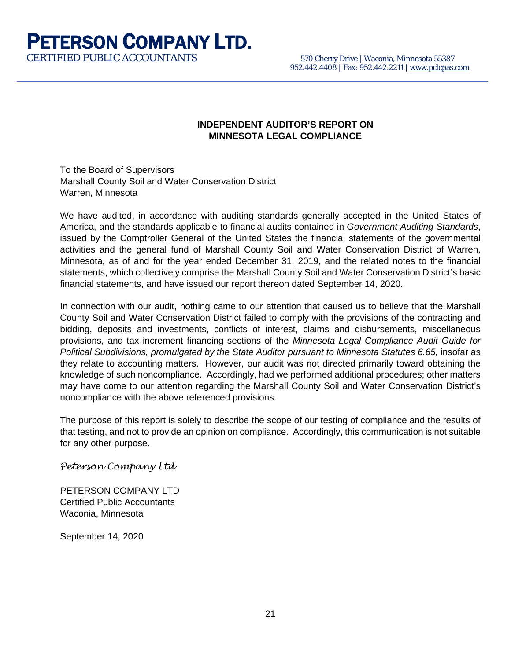# **PETERSON COMPANY LTD.**<br>CERTIFIED PUBLIC ACCOUNTANTS 570 Cherry Drive | Waconia, Minnesota 55387

# **INDEPENDENT AUDITOR'S REPORT ON MINNESOTA LEGAL COMPLIANCE**

To the Board of Supervisors Marshall County Soil and Water Conservation District Warren, Minnesota

We have audited, in accordance with auditing standards generally accepted in the United States of America, and the standards applicable to financial audits contained in *Government Auditing Standards*, issued by the Comptroller General of the United States the financial statements of the governmental activities and the general fund of Marshall County Soil and Water Conservation District of Warren, Minnesota, as of and for the year ended December 31, 2019, and the related notes to the financial statements, which collectively comprise the Marshall County Soil and Water Conservation District's basic financial statements, and have issued our report thereon dated September 14, 2020.

In connection with our audit, nothing came to our attention that caused us to believe that the Marshall County Soil and Water Conservation District failed to comply with the provisions of the contracting and bidding, deposits and investments, conflicts of interest, claims and disbursements, miscellaneous provisions, and tax increment financing sections of the *Minnesota Legal Compliance Audit Guide for Political Subdivisions, promulgated by the State Auditor pursuant to Minnesota Statutes 6.65, insofar as* they relate to accounting matters. However, our audit was not directed primarily toward obtaining the knowledge of such noncompliance. Accordingly, had we performed additional procedures; other matters may have come to our attention regarding the Marshall County Soil and Water Conservation District's noncompliance with the above referenced provisions.

The purpose of this report is solely to describe the scope of our testing of compliance and the results of that testing, and not to provide an opinion on compliance. Accordingly, this communication is not suitable for any other purpose.

*Peterson Company Ltd*

PETERSON COMPANY LTD Certified Public Accountants Waconia, Minnesota

September 14, 2020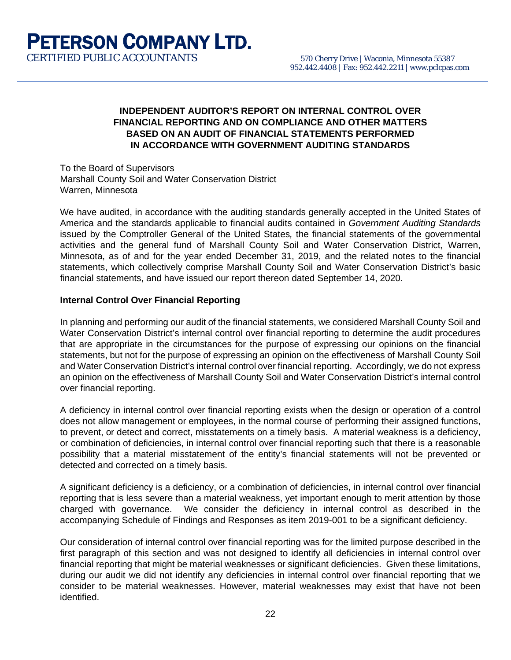# **INDEPENDENT AUDITOR'S REPORT ON INTERNAL CONTROL OVER FINANCIAL REPORTING AND ON COMPLIANCE AND OTHER MATTERS BASED ON AN AUDIT OF FINANCIAL STATEMENTS PERFORMED IN ACCORDANCE WITH GOVERNMENT AUDITING STANDARDS**

To the Board of Supervisors Marshall County Soil and Water Conservation District Warren, Minnesota

We have audited, in accordance with the auditing standards generally accepted in the United States of America and the standards applicable to financial audits contained in *Government Auditing Standards*  issued by the Comptroller General of the United States*,* the financial statements of the governmental activities and the general fund of Marshall County Soil and Water Conservation District, Warren, Minnesota, as of and for the year ended December 31, 2019, and the related notes to the financial statements, which collectively comprise Marshall County Soil and Water Conservation District's basic financial statements, and have issued our report thereon dated September 14, 2020.

## **Internal Control Over Financial Reporting**

In planning and performing our audit of the financial statements, we considered Marshall County Soil and Water Conservation District's internal control over financial reporting to determine the audit procedures that are appropriate in the circumstances for the purpose of expressing our opinions on the financial statements, but not for the purpose of expressing an opinion on the effectiveness of Marshall County Soil and Water Conservation District's internal control over financial reporting. Accordingly, we do not express an opinion on the effectiveness of Marshall County Soil and Water Conservation District's internal control over financial reporting.

A deficiency in internal control over financial reporting exists when the design or operation of a control does not allow management or employees, in the normal course of performing their assigned functions, to prevent, or detect and correct, misstatements on a timely basis. A material weakness is a deficiency, or combination of deficiencies, in internal control over financial reporting such that there is a reasonable possibility that a material misstatement of the entity's financial statements will not be prevented or detected and corrected on a timely basis.

A significant deficiency is a deficiency, or a combination of deficiencies, in internal control over financial reporting that is less severe than a material weakness, yet important enough to merit attention by those charged with governance. We consider the deficiency in internal control as described in the accompanying Schedule of Findings and Responses as item 2019-001 to be a significant deficiency.

Our consideration of internal control over financial reporting was for the limited purpose described in the first paragraph of this section and was not designed to identify all deficiencies in internal control over financial reporting that might be material weaknesses or significant deficiencies. Given these limitations, during our audit we did not identify any deficiencies in internal control over financial reporting that we consider to be material weaknesses. However, material weaknesses may exist that have not been identified.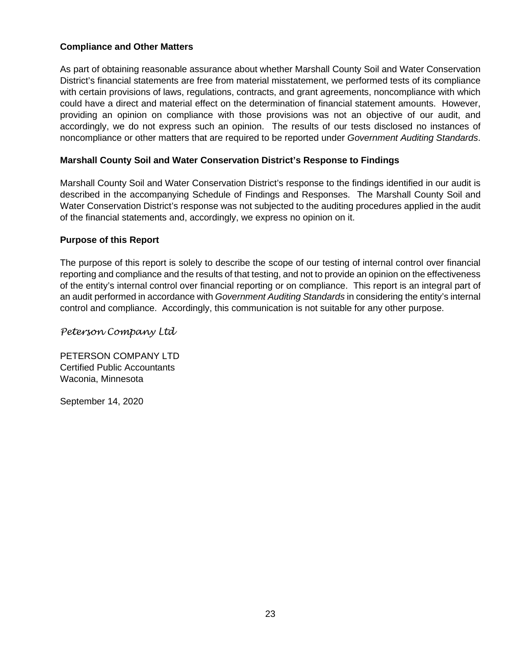## **Compliance and Other Matters**

As part of obtaining reasonable assurance about whether Marshall County Soil and Water Conservation District's financial statements are free from material misstatement, we performed tests of its compliance with certain provisions of laws, regulations, contracts, and grant agreements, noncompliance with which could have a direct and material effect on the determination of financial statement amounts. However, providing an opinion on compliance with those provisions was not an objective of our audit, and accordingly, we do not express such an opinion. The results of our tests disclosed no instances of noncompliance or other matters that are required to be reported under *Government Auditing Standards*.

## **Marshall County Soil and Water Conservation District's Response to Findings**

Marshall County Soil and Water Conservation District's response to the findings identified in our audit is described in the accompanying Schedule of Findings and Responses. The Marshall County Soil and Water Conservation District's response was not subjected to the auditing procedures applied in the audit of the financial statements and, accordingly, we express no opinion on it.

#### **Purpose of this Report**

The purpose of this report is solely to describe the scope of our testing of internal control over financial reporting and compliance and the results of that testing, and not to provide an opinion on the effectiveness of the entity's internal control over financial reporting or on compliance. This report is an integral part of an audit performed in accordance with *Government Auditing Standards* in considering the entity's internal control and compliance. Accordingly, this communication is not suitable for any other purpose.

*Peterson Company Ltd*

PETERSON COMPANY LTD Certified Public Accountants Waconia, Minnesota

September 14, 2020